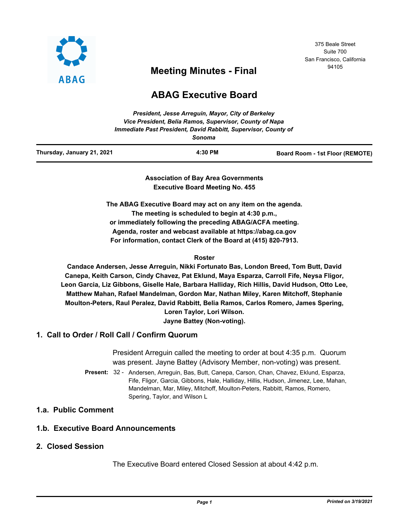

## 375 Beale Street Suite 700 San Francisco, California

# <sup>94105</sup> **Meeting Minutes - Final**

## **ABAG Executive Board**

| Thursday, January 21, 2021 | 4:30 PM                                                                  | Board Room - 1st Floor (REMOTE) |
|----------------------------|--------------------------------------------------------------------------|---------------------------------|
|                            | Immediate Past President, David Rabbitt, Supervisor, County of<br>Sonoma |                                 |
|                            | Vice President, Belia Ramos, Supervisor, County of Napa                  |                                 |
|                            | President, Jesse Arrequin, Mayor, City of Berkeley                       |                                 |

**Association of Bay Area Governments Executive Board Meeting No. 455**

**The ABAG Executive Board may act on any item on the agenda. The meeting is scheduled to begin at 4:30 p.m., or immediately following the preceding ABAG/ACFA meeting. Agenda, roster and webcast available at https://abag.ca.gov For information, contact Clerk of the Board at (415) 820-7913.**

#### **Roster**

**Candace Andersen, Jesse Arreguin, Nikki Fortunato Bas, London Breed, Tom Butt, David Canepa, Keith Carson, Cindy Chavez, Pat Eklund, Maya Esparza, Carroll Fife, Neysa Fligor, Leon Garcia, Liz Gibbons, Giselle Hale, Barbara Halliday, Rich Hillis, David Hudson, Otto Lee, Matthew Mahan, Rafael Mandelman, Gordon Mar, Nathan Miley, Karen Mitchoff, Stephanie Moulton-Peters, Raul Peralez, David Rabbitt, Belia Ramos, Carlos Romero, James Spering, Loren Taylor, Lori Wilson. Jayne Battey (Non-voting).**

#### **1. Call to Order / Roll Call / Confirm Quorum**

President Arreguin called the meeting to order at bout 4:35 p.m. Quorum was present. Jayne Battey (Advisory Member, non-voting) was present.

Present: 32 - Andersen, Arreguin, Bas, Butt, Canepa, Carson, Chan, Chavez, Eklund, Esparza, Fife, Fligor, Garcia, Gibbons, Hale, Halliday, Hillis, Hudson, Jimenez, Lee, Mahan, Mandelman, Mar, Miley, Mitchoff, Moulton-Peters, Rabbitt, Ramos, Romero, Spering, Taylor, and Wilson L

## **1.a. Public Comment**

## **1.b. Executive Board Announcements**

### **2. Closed Session**

The Executive Board entered Closed Session at about 4:42 p.m.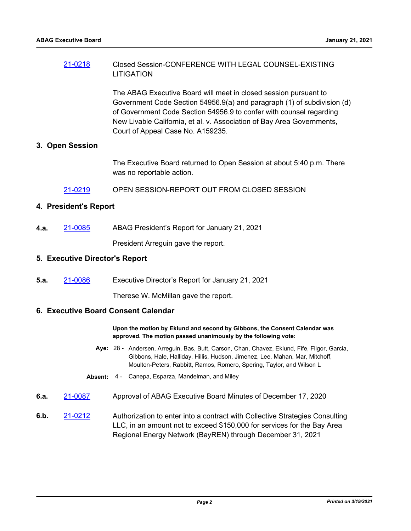## [21-0218](http://mtc.legistar.com/gateway.aspx?m=l&id=/matter.aspx?key=21811) Closed Session-CONFERENCE WITH LEGAL COUNSEL-EXISTING LITIGATION

The ABAG Executive Board will meet in closed session pursuant to Government Code Section 54956.9(a) and paragraph (1) of subdivision (d) of Government Code Section 54956.9 to confer with counsel regarding New Livable California, et al. v. Association of Bay Area Governments, Court of Appeal Case No. A159235.

#### **3. Open Session**

The Executive Board returned to Open Session at about 5:40 p.m. There was no reportable action.

[21-0219](http://mtc.legistar.com/gateway.aspx?m=l&id=/matter.aspx?key=21812) OPEN SESSION-REPORT OUT FROM CLOSED SESSION

#### **4. President's Report**

**4.a.** [21-0085](http://mtc.legistar.com/gateway.aspx?m=l&id=/matter.aspx?key=21678) ABAG President's Report for January 21, 2021

President Arreguin gave the report.

#### **5. Executive Director's Report**

**5.a.** [21-0086](http://mtc.legistar.com/gateway.aspx?m=l&id=/matter.aspx?key=21679) Executive Director's Report for January 21, 2021

Therese W. McMillan gave the report.

#### **6. Executive Board Consent Calendar**

#### **Upon the motion by Eklund and second by Gibbons, the Consent Calendar was approved. The motion passed unanimously by the following vote:**

- Aye: 28 Andersen, Arreguin, Bas, Butt, Carson, Chan, Chavez, Eklund, Fife, Fligor, Garcia, Gibbons, Hale, Halliday, Hillis, Hudson, Jimenez, Lee, Mahan, Mar, Mitchoff, Moulton-Peters, Rabbitt, Ramos, Romero, Spering, Taylor, and Wilson L
- **Absent:** 4 Canepa, Esparza, Mandelman, and Miley
- **6.a.** [21-0087](http://mtc.legistar.com/gateway.aspx?m=l&id=/matter.aspx?key=21680) Approval of ABAG Executive Board Minutes of December 17, 2020
- **6.b.** [21-0212](http://mtc.legistar.com/gateway.aspx?m=l&id=/matter.aspx?key=21805) Authorization to enter into a contract with Collective Strategies Consulting LLC, in an amount not to exceed \$150,000 for services for the Bay Area Regional Energy Network (BayREN) through December 31, 2021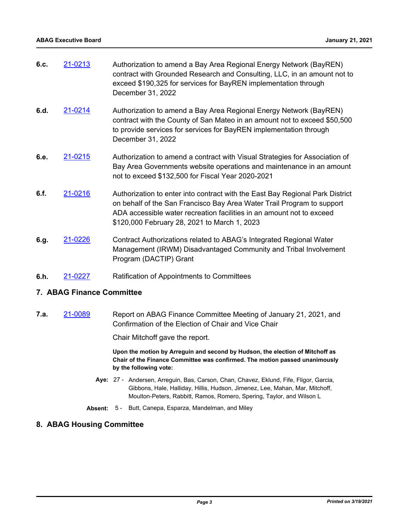| 6.c. | 21-0213        | Authorization to amend a Bay Area Regional Energy Network (BayREN)<br>contract with Grounded Research and Consulting, LLC, in an amount not to<br>exceed \$190,325 for services for BayREN implementation through<br>December 31, 2022                                           |
|------|----------------|----------------------------------------------------------------------------------------------------------------------------------------------------------------------------------------------------------------------------------------------------------------------------------|
| 6.d. | 21-0214        | Authorization to amend a Bay Area Regional Energy Network (BayREN)<br>contract with the County of San Mateo in an amount not to exceed \$50,500<br>to provide services for services for BayREN implementation through<br>December 31, 2022                                       |
| 6.e. | 21-0215        | Authorization to amend a contract with Visual Strategies for Association of<br>Bay Area Governments website operations and maintenance in an amount<br>not to exceed \$132,500 for Fiscal Year 2020-2021                                                                         |
| 6.f. | 21-0216        | Authorization to enter into contract with the East Bay Regional Park District<br>on behalf of the San Francisco Bay Area Water Trail Program to support<br>ADA accessible water recreation facilities in an amount not to exceed<br>\$120,000 February 28, 2021 to March 1, 2023 |
| 6.g. | <u>21-0226</u> | Contract Authorizations related to ABAG's Integrated Regional Water<br>Management (IRWM) Disadvantaged Community and Tribal Involvement                                                                                                                                          |

**6.h.** [21-0227](http://mtc.legistar.com/gateway.aspx?m=l&id=/matter.aspx?key=21820) Ratification of Appointments to Committees

Program (DACTIP) Grant

## **7. ABAG Finance Committee**

**7.a.** [21-0089](http://mtc.legistar.com/gateway.aspx?m=l&id=/matter.aspx?key=21682) Report on ABAG Finance Committee Meeting of January 21, 2021, and Confirmation of the Election of Chair and Vice Chair

Chair Mitchoff gave the report.

**Upon the motion by Arreguin and second by Hudson, the election of Mitchoff as Chair of the Finance Committee was confirmed. The motion passed unanimously by the following vote:**

- Aye: 27 Andersen, Arreguin, Bas, Carson, Chan, Chavez, Eklund, Fife, Fligor, Garcia, Gibbons, Hale, Halliday, Hillis, Hudson, Jimenez, Lee, Mahan, Mar, Mitchoff, Moulton-Peters, Rabbitt, Ramos, Romero, Spering, Taylor, and Wilson L
- **Absent:** 5 Butt, Canepa, Esparza, Mandelman, and Miley

## **8. ABAG Housing Committee**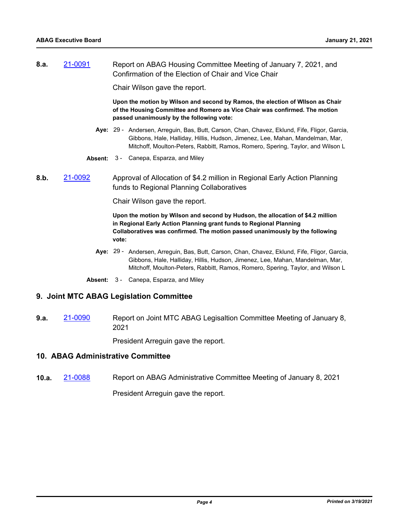**8.a.** [21-0091](http://mtc.legistar.com/gateway.aspx?m=l&id=/matter.aspx?key=21684) Report on ABAG Housing Committee Meeting of January 7, 2021, and Confirmation of the Election of Chair and Vice Chair

Chair Wilson gave the report.

**Upon the motion by Wilson and second by Ramos, the election of WIlson as Chair of the Housing Committee and Romero as Vice Chair was confirmed. The motion passed unanimously by the following vote:**

- Aye: 29 Andersen, Arreguin, Bas, Butt, Carson, Chan, Chavez, Eklund, Fife, Fligor, Garcia, Gibbons, Hale, Halliday, Hillis, Hudson, Jimenez, Lee, Mahan, Mandelman, Mar, Mitchoff, Moulton-Peters, Rabbitt, Ramos, Romero, Spering, Taylor, and Wilson L
- **Absent:** 3 Canepa, Esparza, and Miley
- **8.b.** [21-0092](http://mtc.legistar.com/gateway.aspx?m=l&id=/matter.aspx?key=21685) Approval of Allocation of \$4.2 million in Regional Early Action Planning funds to Regional Planning Collaboratives

Chair Wilson gave the report.

**Upon the motion by Wilson and second by Hudson, the allocation of \$4.2 million in Regional Early Action Planning grant funds to Regional Planning Collaboratives was confirmed. The motion passed unanimously by the following vote:**

- Aye: 29 Andersen, Arreguin, Bas, Butt, Carson, Chan, Chavez, Eklund, Fife, Fligor, Garcia, Gibbons, Hale, Halliday, Hillis, Hudson, Jimenez, Lee, Mahan, Mandelman, Mar, Mitchoff, Moulton-Peters, Rabbitt, Ramos, Romero, Spering, Taylor, and Wilson L
- **Absent:** 3 Canepa, Esparza, and Miley

#### **9. Joint MTC ABAG Legislation Committee**

**9.a.** [21-0090](http://mtc.legistar.com/gateway.aspx?m=l&id=/matter.aspx?key=21683) Report on Joint MTC ABAG Legisaltion Committee Meeting of January 8, 2021

President Arreguin gave the report.

#### **10. ABAG Administrative Committee**

**10.a.** [21-0088](http://mtc.legistar.com/gateway.aspx?m=l&id=/matter.aspx?key=21681) Report on ABAG Administrative Committee Meeting of January 8, 2021

President Arreguin gave the report.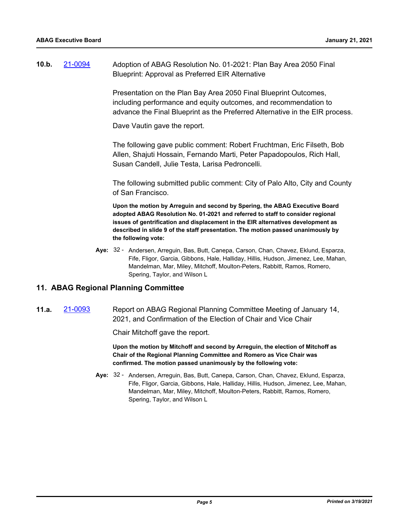| 10.b. | 21-0094 | Adoption of ABAG Resolution No. 01-2021: Plan Bay Area 2050 Final |
|-------|---------|-------------------------------------------------------------------|
|       |         | Blueprint: Approval as Preferred EIR Alternative                  |

Presentation on the Plan Bay Area 2050 Final Blueprint Outcomes, including performance and equity outcomes, and recommendation to advance the Final Blueprint as the Preferred Alternative in the EIR process.

Dave Vautin gave the report.

The following gave public comment: Robert Fruchtman, Eric Filseth, Bob Allen, Shajuti Hossain, Fernando Marti, Peter Papadopoulos, Rich Hall, Susan Candell, Julie Testa, Larisa Pedroncelli.

The following submitted public comment: City of Palo Alto, City and County of San Francisco.

**Upon the motion by Arreguin and second by Spering, the ABAG Executive Board adopted ABAG Resolution No. 01-2021 and referred to staff to consider regional issues of gentrification and displacement in the EIR alternatives development as described in slide 9 of the staff presentation. The motion passed unanimously by the following vote:**

Aye: 32 - Andersen, Arreguin, Bas, Butt, Canepa, Carson, Chan, Chavez, Eklund, Esparza, Fife, Fligor, Garcia, Gibbons, Hale, Halliday, Hillis, Hudson, Jimenez, Lee, Mahan, Mandelman, Mar, Miley, Mitchoff, Moulton-Peters, Rabbitt, Ramos, Romero, Spering, Taylor, and Wilson L

#### **11. ABAG Regional Planning Committee**

**11.a.** [21-0093](http://mtc.legistar.com/gateway.aspx?m=l&id=/matter.aspx?key=21686) Report on ABAG Regional Planning Committee Meeting of January 14, 2021, and Confirmation of the Election of Chair and Vice Chair

Chair Mitchoff gave the report.

**Upon the motion by Mitchoff and second by Arreguin, the election of Mitchoff as Chair of the Regional Planning Committee and Romero as Vice Chair was confirmed. The motion passed unanimously by the following vote:**

Aye: 32 - Andersen, Arreguin, Bas, Butt, Canepa, Carson, Chan, Chavez, Eklund, Esparza, Fife, Fligor, Garcia, Gibbons, Hale, Halliday, Hillis, Hudson, Jimenez, Lee, Mahan, Mandelman, Mar, Miley, Mitchoff, Moulton-Peters, Rabbitt, Ramos, Romero, Spering, Taylor, and Wilson L